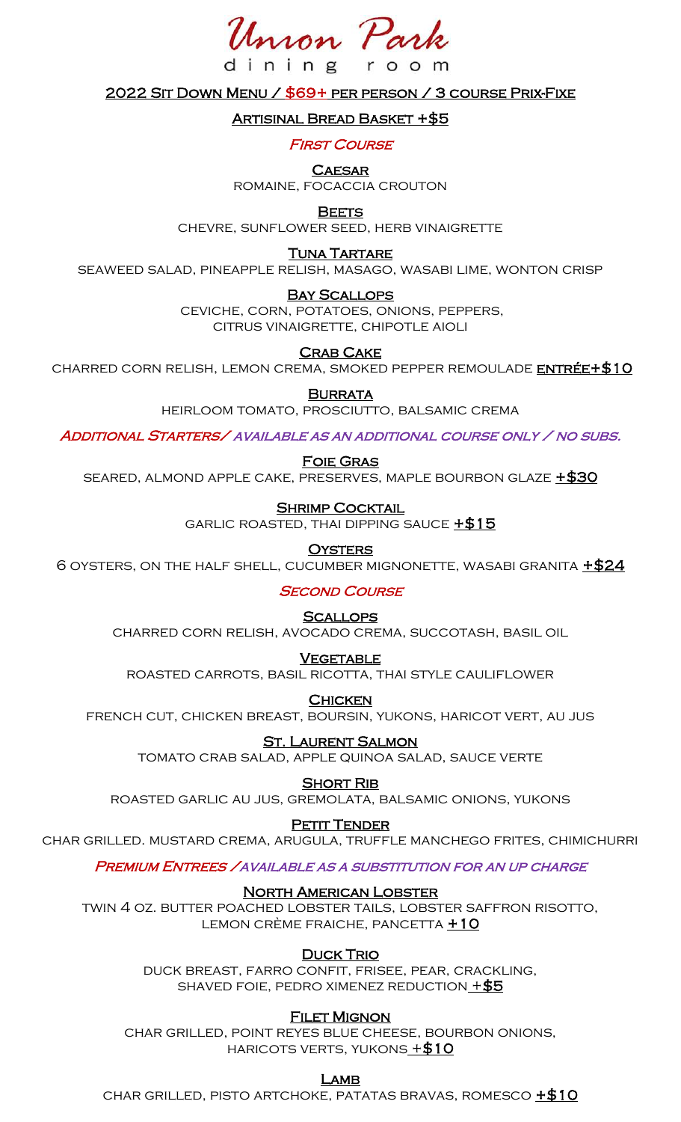Inron Pa

ning

2022 Sit Down Menu / \$69+ per person / 3 course Prix-Fixe

room

<u>Artisinal Bread Basket +\$5</u>

**FIRST COURSE** 

**CAESAR** 

romaine, focaccia crouton

**BEETS** 

chevre, sunflower seed, herb vinaigrette

**TUNA TARTARE** 

seaweed salad, pineapple relish, masago, wasabi lime, wonton crisp

### Bay Scallops

ceviche, corn, potatoes, onions, peppers, citrus vinaigrette, chipotle aioli

**CRAB CAKE** 

CHARRED CORN RELISH, LEMON CREMA, SMOKED PEPPER REMOULADE ENTRÉE+\$10

**BURRATA** 

heirloom tomato, prosciutto, balsamic crema

Additional Starters/ available as an additional course only / no subs.

Foie Gras

seared, almond apple cake, preserves, maple bourbon glaze +\$30

### **SHRIMP COCKTAIL**

GARLIC ROASTED, THAI DIPPING SAUCE  $+\$15$ 

**OYSTERS** 

6 OYSTERS, ON THE HALF SHELL, CUCUMBER MIGNONETTE, WASABI GRANITA  $\pm$ \$24

**SECOND COURSE** 

### **SCALLOPS**

charred corn relish, avocado crema, succotash, basil oil

### **VEGETABLE**

roasted carrots, basil ricotta, thai style cauliflower

**CHICKEN** 

french cut, chicken breast, boursin, yukons, haricot vert, au jus

<u>St. Laurent Salmon</u>

tomato crab salad, apple quinoa salad, sauce verte

### **SHORT RIB**

roasted garlic au jus, gremolata, balsamic onions, yukons

### PETIT TENDER

char grilled. mustard crema, arugula, truffle manchego frites, chimichurri

Premium Entrees /available as a substitution for an up charge

### North American Lobster

twin 4 oz. butter poached lobster tails, lobster saffron risotto, LEMON CRÈME FRAICHE, PANCETTA +10

### **DUCK TRIO**

duck breast, farro confit, frisee, pear, crackling, SHAVED FOIE, PEDRO XIMENEZ REDUCTION  $+$  \$5

### **FILET MIGNON**

char grilled, point reyes blue cheese, bourbon onions, HARICOTS VERTS, YUKONS  $+ $10$ 

<u>LAMB</u>

char grilled, pisto artchoke, patatas bravas, romesco +\$10